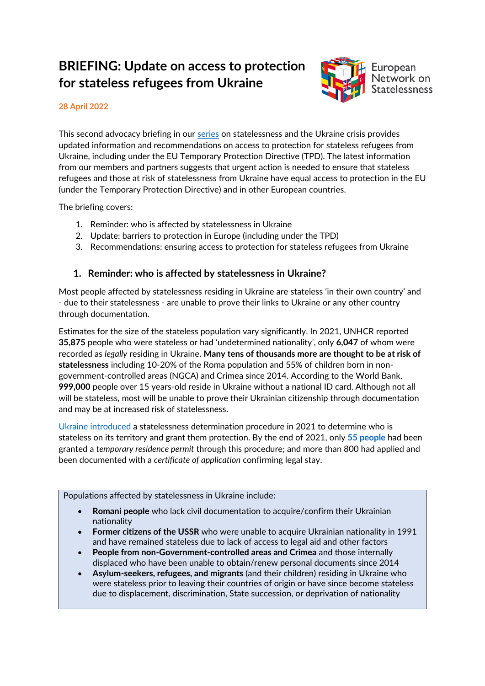# **BRIEFING: Update on access to protection for stateless refugees from Ukraine**



#### **28 April 2022**

This second advocacy briefing in our [series](https://www.statelessness.eu/statelessness-ukraine-crisis) on statelessness and the Ukraine crisis provides updated information and recommendations on access to protection for stateless refugees from Ukraine, including under the EU Temporary Protection Directive (TPD). The latest information from our members and partners suggests that urgent action is needed to ensure that stateless refugees and those at risk of statelessness from Ukraine have equal access to protection in the EU (under the Temporary Protection Directive) and in other European countries.

The briefing covers:

- 1. Reminder: who is affected by statelessness in Ukraine
- 2. Update: barriers to protection in Europe (including under the TPD)
- 3. Recommendations: ensuring access to protection for stateless refugees from Ukraine

# **1. Reminder: who is affected by statelessness in Ukraine?**

Most people affected by statelessness residing in Ukraine are stateless 'in their own country' and - due to their statelessness - are unable to prove their links to Ukraine or any other country through documentation.

Estimates for the size of the stateless population vary significantly. In 2021, UNHCR reported **35,875** people who were stateless or had 'undetermined nationality', only **6,047** of whom were recorded as *legally* residing in Ukraine. **Many tens of thousands more are thought to be at risk of statelessness** including 10-20% of the Roma population and 55% of children born in nongovernment-controlled areas (NGCA) and Crimea since 2014. According to the World Bank, **999,000** people over 15 years-old reside in Ukraine without a national ID card. Although not all will be stateless, most will be unable to prove their Ukrainian citizenship through documentation and may be at increased risk of statelessness.

[Ukraine introduced](https://index.statelessness.eu/country/ukraine) a statelessness determination procedure in 2021 to determine who is stateless on its territory and grant them protection. By the end of 2021, only **[55 people](https://www.unhcr.org/ua/en/stateless-persons)** had been granted a *temporary residence permit* through this procedure; and more than 800 had applied and been documented with a *certificate of application* confirming legal stay.

Populations affected by statelessness in Ukraine include:

- **Romani people** who lack civil documentation to acquire/confirm their Ukrainian nationality
- **Former citizens of the USSR** who were unable to acquire Ukrainian nationality in 1991 and have remained stateless due to lack of access to legal aid and other factors
- **People from non-Government-controlled areas and Crimea** and those internally displaced who have been unable to obtain/renew personal documents since 2014
- **Asylum-seekers, refugees, and migrants** (and their children) residing in Ukraine who were stateless prior to leaving their countries of origin or have since become stateless due to displacement, discrimination, State succession, or deprivation of nationality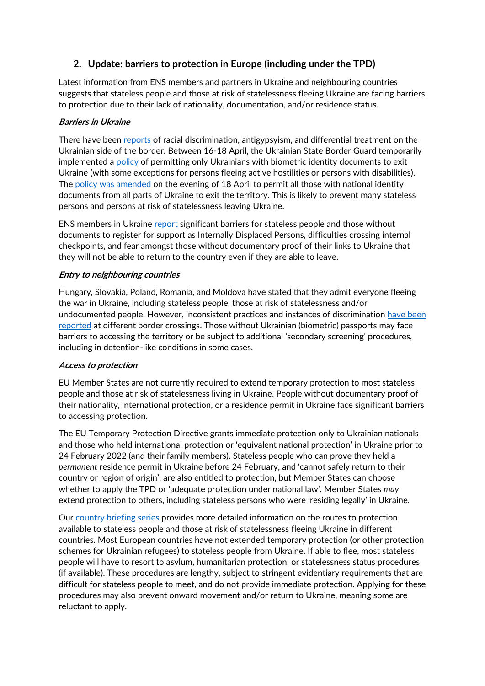# **2. Update: barriers to protection in Europe (including under the TPD)**

Latest information from ENS members and partners in Ukraine and neighbouring countries suggests that stateless people and those at risk of statelessness fleeing Ukraine are facing barriers to protection due to their lack of nationality, documentation, and/or residence status.

#### **Barriers in Ukraine**

There have been [reports](https://www.enar-eu.org/joint-statement-at-49th-session-of-the-un-human-rights-council/) of racial discrimination, antigypsyism, and differential treatment on the Ukrainian side of the border. Between 16-18 April, the Ukrainian State Border Guard temporarily implemented a [policy](https://www.pravda.com.ua/news/2022/04/18/7340372/) of permitting only Ukrainians with biometric identity documents to exit Ukraine (with some exceptions for persons fleeing active hostilities or persons with disabilities). The [policy was amended](https://dpsu.gov.ua/ua/news/Mozhlivist-peretinannya-kordonu-gromadyanami-Ukraini-za-vnutrishnimi-pasportami-prodovzheno/) on the evening of 18 April to permit all those with national identity documents from all parts of Ukraine to exit the territory. This is likely to prevent many stateless persons and persons at risk of statelessness leaving Ukraine.

ENS members in Ukraine [report](https://www.statelessness.eu/updates/blog/assisting-stateless-people-trapped-ukraine-report-ground) significant barriers for stateless people and those without documents to register for support as Internally Displaced Persons, difficulties crossing internal checkpoints, and fear amongst those without documentary proof of their links to Ukraine that they will not be able to return to the country even if they are able to leave.

#### **Entry to neighbouring countries**

Hungary, Slovakia, Poland, Romania, and Moldova have stated that they admit everyone fleeing the war in Ukraine, including stateless people, those at risk of statelessness and/or undocumented people. However, inconsistent practices and instances of discrimination have been [reported](https://www.statelessness.eu/statelessness-ukraine-crisis) at different border crossings. Those without Ukrainian (biometric) passports may face barriers to accessing the territory or be subject to additional 'secondary screening' procedures, including in detention-like conditions in some cases.

#### **Access to protection**

EU Member States are not currently required to extend temporary protection to most stateless people and those at risk of statelessness living in Ukraine. People without documentary proof of their nationality, international protection, or a residence permit in Ukraine face significant barriers to accessing protection.

The EU Temporary Protection Directive grants immediate protection only to Ukrainian nationals and those who held international protection or 'equivalent national protection' in Ukraine prior to 24 February 2022 (and their family members). Stateless people who can prove they held a *permanent* residence permit in Ukraine before 24 February, and 'cannot safely return to their country or region of origin', are also entitled to protection, but Member States can choose whether to apply the TPD or 'adequate protection under national law'. Member States *may* extend protection to others, including stateless persons who were 'residing legally' in Ukraine.

Our [country briefing series](https://www.statelessness.eu/statelessness-ukraine-crisis) provides more detailed information on the routes to protection available to stateless people and those at risk of statelessness fleeing Ukraine in different countries. Most European countries have not extended temporary protection (or other protection schemes for Ukrainian refugees) to stateless people from Ukraine. If able to flee, most stateless people will have to resort to asylum, humanitarian protection, or statelessness status procedures (if available). These procedures are lengthy, subject to stringent evidentiary requirements that are difficult for stateless people to meet, and do not provide immediate protection. Applying for these procedures may also prevent onward movement and/or return to Ukraine, meaning some are reluctant to apply.